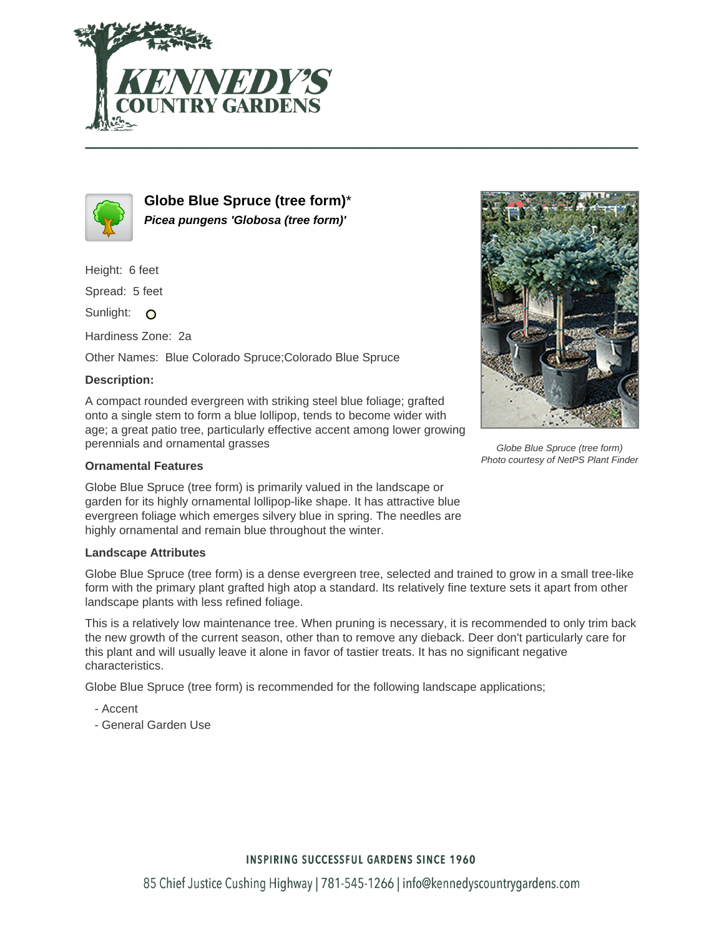



**Globe Blue Spruce (tree form)**\* **Picea pungens 'Globosa (tree form)'**

Height: 6 feet

Spread: 5 feet

Sunlight: O

Hardiness Zone: 2a

Other Names: Blue Colorado Spruce;Colorado Blue Spruce

## **Description:**

A compact rounded evergreen with striking steel blue foliage; grafted onto a single stem to form a blue lollipop, tends to become wider with age; a great patio tree, particularly effective accent among lower growing perennials and ornamental grasses

## **Ornamental Features**

Globe Blue Spruce (tree form) is primarily valued in the landscape or garden for its highly ornamental lollipop-like shape. It has attractive blue evergreen foliage which emerges silvery blue in spring. The needles are highly ornamental and remain blue throughout the winter.

## **Landscape Attributes**

Globe Blue Spruce (tree form) is a dense evergreen tree, selected and trained to grow in a small tree-like form with the primary plant grafted high atop a standard. Its relatively fine texture sets it apart from other landscape plants with less refined foliage.

This is a relatively low maintenance tree. When pruning is necessary, it is recommended to only trim back the new growth of the current season, other than to remove any dieback. Deer don't particularly care for this plant and will usually leave it alone in favor of tastier treats. It has no significant negative characteristics.

Globe Blue Spruce (tree form) is recommended for the following landscape applications;

- Accent
- General Garden Use



Globe Blue Spruce (tree form) Photo courtesy of NetPS Plant Finder